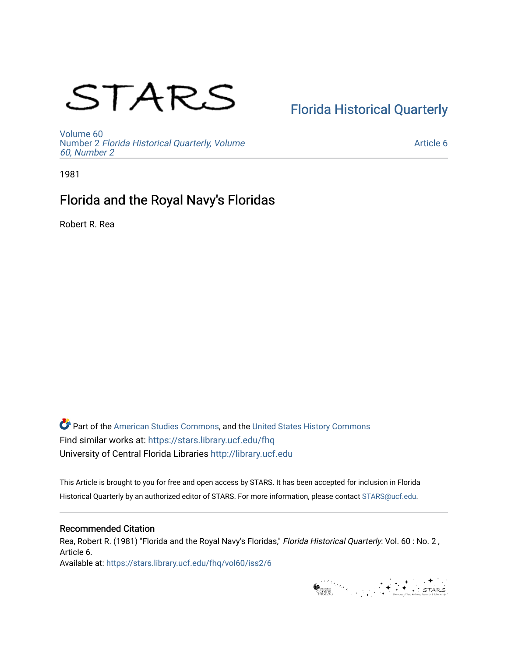# STARS

# [Florida Historical Quarterly](https://stars.library.ucf.edu/fhq)

[Volume 60](https://stars.library.ucf.edu/fhq/vol60) Number 2 [Florida Historical Quarterly, Volume](https://stars.library.ucf.edu/fhq/vol60/iss2)  [60, Number 2](https://stars.library.ucf.edu/fhq/vol60/iss2)

[Article 6](https://stars.library.ucf.edu/fhq/vol60/iss2/6) 

1981

## Florida and the Royal Navy's Floridas

Robert R. Rea

**C** Part of the [American Studies Commons](http://network.bepress.com/hgg/discipline/439?utm_source=stars.library.ucf.edu%2Ffhq%2Fvol60%2Fiss2%2F6&utm_medium=PDF&utm_campaign=PDFCoverPages), and the United States History Commons Find similar works at: <https://stars.library.ucf.edu/fhq> University of Central Florida Libraries [http://library.ucf.edu](http://library.ucf.edu/) 

This Article is brought to you for free and open access by STARS. It has been accepted for inclusion in Florida Historical Quarterly by an authorized editor of STARS. For more information, please contact [STARS@ucf.edu.](mailto:STARS@ucf.edu)

## Recommended Citation

Rea, Robert R. (1981) "Florida and the Royal Navy's Floridas," Florida Historical Quarterly: Vol. 60 : No. 2, Article 6.

Available at: [https://stars.library.ucf.edu/fhq/vol60/iss2/6](https://stars.library.ucf.edu/fhq/vol60/iss2/6?utm_source=stars.library.ucf.edu%2Ffhq%2Fvol60%2Fiss2%2F6&utm_medium=PDF&utm_campaign=PDFCoverPages) 

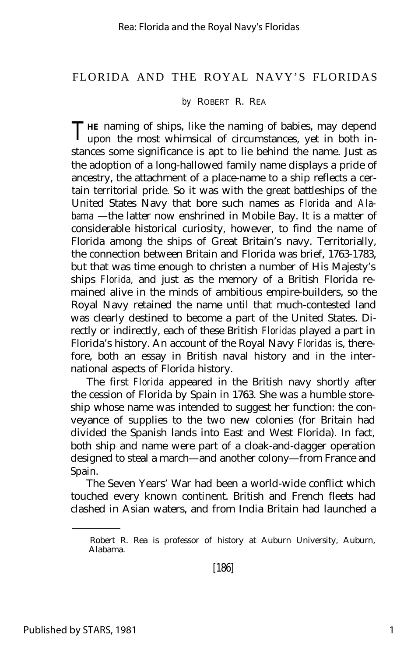## FLORIDA AND THE ROYAL NAVY'S FLORIDAS

#### *by* ROBERT R. REA

THE naming of ships, like the naming of babies, may depend upon the most whimsical of circumstances, yet in both inupon the most whimsical of circumstances, yet in both instances some significance is apt to lie behind the name. Just as the adoption of a long-hallowed family name displays a pride of ancestry, the attachment of a place-name to a ship reflects a certain territorial pride. So it was with the great battleships of the United States Navy that bore such names as *Florida* and *Alabama* — the latter now enshrined in Mobile Bay. It is a matter of considerable historical curiosity, however, to find the name of Florida among the ships of Great Britain's navy. Territorially, the connection between Britain and Florida was brief, 1763-1783, but that was time enough to christen a number of His Majesty's ships *Florida,* and just as the memory of a British Florida remained alive in the minds of ambitious empire-builders, so the Royal Navy retained the name until that much-contested land was clearly destined to become a part of the United States. Directly or indirectly, each of these British *Floridas* played a part in Florida's history. An account of the Royal Navy *Floridas* is, therefore, both an essay in British naval history and in the international aspects of Florida history.

The first *Florida* appeared in the British navy shortly after the cession of Florida by Spain in 1763. She was a humble storeship whose name was intended to suggest her function: the conveyance of supplies to the two new colonies (for Britain had divided the Spanish lands into East and West Florida). In fact, both ship and name were part of a cloak-and-dagger operation designed to steal a march— and another colony— from France and Spain.

The Seven Years' War had been a world-wide conflict which touched every known continent. British and French fleets had clashed in Asian waters, and from India Britain had launched a

Robert R. Rea is professor of history at Auburn University, Auburn, Alabama.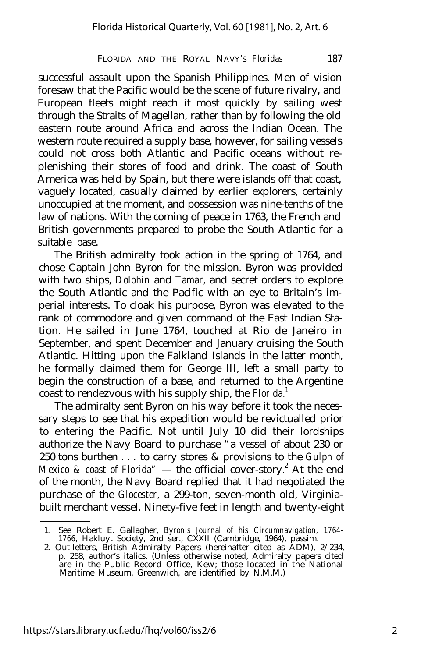successful assault upon the Spanish Philippines. Men of vision foresaw that the Pacific would be the scene of future rivalry, and European fleets might reach it most quickly by sailing west through the Straits of Magellan, rather than by following the old eastern route around Africa and across the Indian Ocean. The western route required a supply base, however, for sailing vessels could not cross both Atlantic and Pacific oceans without replenishing their stores of food and drink. The coast of South America was held by Spain, but there were islands off that coast, vaguely located, casually claimed by earlier explorers, certainly unoccupied at the moment, and possession was nine-tenths of the law of nations. With the coming of peace in 1763, the French and British governments prepared to probe the South Atlantic for a suitable base.

The British admiralty took action in the spring of 1764, and chose Captain John Byron for the mission. Byron was provided with two ships, *Dolphin* and *Tamar,* and secret orders to explore the South Atlantic and the Pacific with an eye to Britain's imperial interests. To cloak his purpose, Byron was elevated to the rank of commodore and given command of the East Indian Station. He sailed in June 1764, touched at Rio de Janeiro in September, and spent December and January cruising the South Atlantic. Hitting upon the Falkland Islands in the latter month, he formally claimed them for George III, left a small party to begin the construction of a base, and returned to the Argentine coast to rendezvous with his supply ship, the *Florida.<sup>1</sup>*

The admiralty sent Byron on his way before it took the necessary steps to see that his expedition would be revictualled prior to entering the Pacific. Not until July 10 did their lordships authorize the Navy Board to purchase "a vessel of about 230 or 250 tons burthen . . . to carry stores & provisions to the *Gulph of Mexico & coast of Florida"*  $-$  the official cover-story.<sup>2</sup> At the end of the month, the Navy Board replied that it had negotiated the purchase of the *Glocester,* a 299-ton, seven-month old, Virginiabuilt merchant vessel. Ninety-five feet in length and twenty-eight

<sup>1.</sup> See Robert E. Gallagher, *Byron's Journal of his Circumnavigation, 1764- 1766,* Hakluyt Society, 2nd ser., CXXII (Cambridge, 1964), passim.

<sup>2.</sup> Out-letters, British Admiralty Papers (hereinafter cited as ADM), 2/234, p. 258, author's italics. (Unless otherwise noted, Admiralty papers cited are in the Public Record Office, Kew; those located in the National Maritime Museum, Greenwich, are identified by N.M.M.)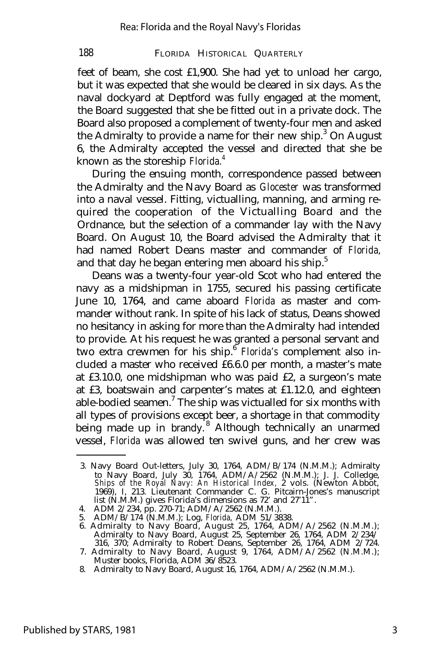feet of beam, she cost £1,900. She had yet to unload her cargo, but it was expected that she would be cleared in six days. As the naval dockyard at Deptford was fully engaged at the moment, the Board suggested that she be fitted out in a private dock. The Board also proposed a complement of twenty-four men and asked the Admiralty to provide a name for their new ship. $3$  On August 6, the Admiralty accepted the vessel and directed that she be known as the storeship *Florida.<sup>4</sup>*

During the ensuing month, correspondence passed between the Admiralty and the Navy Board as *Glocester* was transformed into a naval vessel. Fitting, victualling, manning, and arming required the cooperation of the Victualling Board and the Ordnance, but the selection of a commander lay with the Navy Board. On August 10, the Board advised the Admiralty that it had named Robert Deans master and commander of *Florida,* and that day he began entering men aboard his ship.<sup>5</sup>

Deans was a twenty-four year-old Scot who had entered the navy as a midshipman in 1755, secured his passing certificate June 10, 1764, and came aboard *Florida* as master and commander without rank. In spite of his lack of status, Deans showed no hesitancy in asking for more than the Admiralty had intended to provide. At his request he was granted a personal servant and two extra crewmen for his ship.<sup>6</sup> Florida's complement also included a master who received £6.6.0 per month, a master's mate at £3.10.0, one midshipman who was paid £2, a surgeon's mate at £3, boatswain and carpenter's mates at £1.12.0, and eighteen able-bodied seamen.<sup>7</sup> The ship was victualled for six months with all types of provisions except beer, a shortage in that commodity being made up in brandy.<sup>8</sup> Although technically an unarmed vessel, *Florida* was allowed ten swivel guns, and her crew was

<sup>3.</sup> Navy Board Out-letters, July 30, 1764, ADM/B/174 (N.M.M.); Admiralty to Navy Board, July 30, 1764, ADM/A/2562 (N.M.M.); J. J. Colledge, *Ships of the Royal Navy: An Historical Index,* 2 vols. (Newton Abbot, 1969), I, 213. Lieutenant Commander C. G. Pitcairn-Jones's manuscript list (N.M.M.) gives Florida's dimensions as 72' and 27'11".

<sup>4.</sup> ADM 2/234, pp. 270-71; ADM/A/2562 (N.M.M.). 5. ADM/B/174 (N.M.M.); Log, *Florida,* ADM 51/3838.

<sup>6.</sup> Admiralty to Navy Board, August 25, 1764, ADM/A/2562 (N.M.M.); Admiralty to Navy Board, August 25, September 26, 1764, ADM 2/234/ 316, 370; Admiralty to Robert Deans, September 26, 1764, ADM 2/724.

<sup>7.</sup> Admiralty to Navy Board, August 9, 1764, ADM/A/2562 (N.M.M.); Muster books, Florida, ADM 36/8523.

<sup>8.</sup> Admiralty to Navy Board, August 16, 1764, ADM/A/2562 (N.M.M.).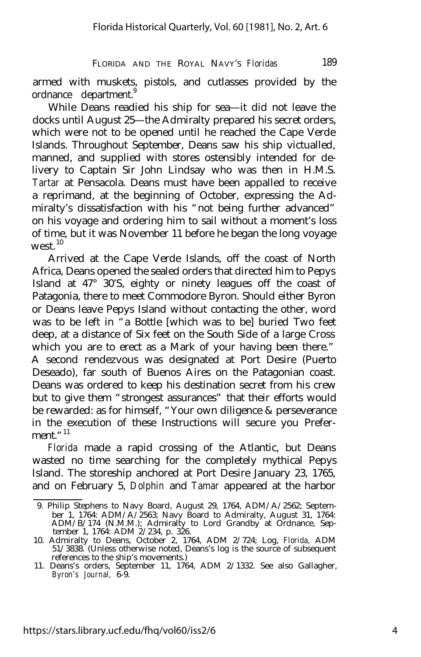armed with muskets, pistols, and cutlasses provided by the ordnance department.<sup>9</sup>

While Deans readied his ship for sea— it did not leave the docks until August 25— the Admiralty prepared his secret orders, which were not to be opened until he reached the Cape Verde Islands. Throughout September, Deans saw his ship victualled, manned, and supplied with stores ostensibly intended for delivery to Captain Sir John Lindsay who was then in H.M.S. *Tartar* at Pensacola. Deans must have been appalled to receive a reprimand, at the beginning of October, expressing the Admiralty's dissatisfaction with his "not being further advanced" on his voyage and ordering him to sail without a moment's loss of time, but it was November 11 before he began the long voyage west.<sup>10</sup>

Arrived at the Cape Verde Islands, off the coast of North Africa, Deans opened the sealed orders that directed him to Pepys Island at 47° 30'S, eighty or ninety leagues off the coast of Patagonia, there to meet Commodore Byron. Should either Byron or Deans leave Pepys Island without contacting the other, word was to be left in "a Bottle [which was to be] buried Two feet deep, at a distance of Six feet on the South Side of a large Cross which you are to erect as a Mark of your having been there." A second rendezvous was designated at Port Desire (Puerto Deseado), far south of Buenos Aires on the Patagonian coast. Deans was ordered to keep his destination secret from his crew but to give them "strongest assurances" that their efforts would be rewarded: as for himself, "Your own diligence & perseverance in the execution of these Instructions will secure you Preferment."<sup>11</sup>

*Florida* made a rapid crossing of the Atlantic, but Deans wasted no time searching for the completely mythical Pepys Island. The storeship anchored at Port Desire January 23, 1765, and on February 5, *Dolphin* and *Tamar* appeared at the harbor

<sup>9.</sup> Philip Stephens to Navy Board, August 29, 1764, ADM/A/2562; September 1, 1764: ADM/A/2563; Navy Board to Admiralty, August 31, 1764: ADM/B/174 (N.M.M.); Admiralty to Lord Grandby at Ordnance, September 1, 1764: ADM 2/234, p. 326.

<sup>10.</sup> Admiralty to Deans, October 2, 1764, ADM 2/724; Log, *Florida,* ADM 51/3838. (Unless otherwise noted, Deans's log is the source of subsequent references to the ship's movements.)

<sup>11.</sup> Deans's orders, September 11, 1764, ADM 2/1332. See also Gallagher, *Byron's Journal,* 6-9.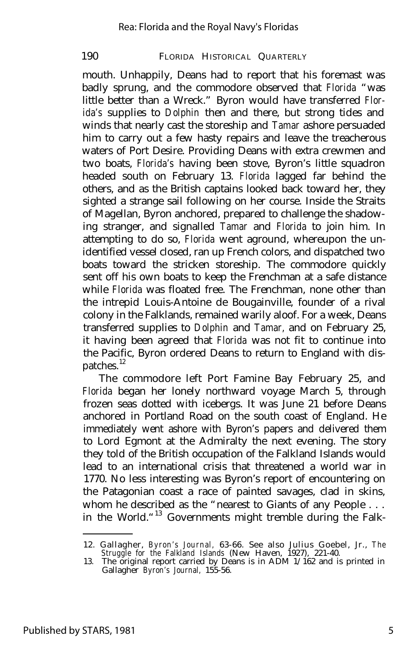mouth. Unhappily, Deans had to report that his foremast was badly sprung, and the commodore observed that *Florida* "was little better than a Wreck." Byron would have transferred *Florida's* supplies to *Dolphin* then and there, but strong tides and winds that nearly cast the storeship and *Tamar* ashore persuaded him to carry out a few hasty repairs and leave the treacherous waters of Port Desire. Providing Deans with extra crewmen and two boats, *Florida's* having been stove, Byron's little squadron headed south on February 13. *Florida* lagged far behind the others, and as the British captains looked back toward her, they sighted a strange sail following on her course. Inside the Straits of Magellan, Byron anchored, prepared to challenge the shadowing stranger, and signalled *Tamar* and *Florida* to join him. In attempting to do so, *Florida* went aground, whereupon the unidentified vessel closed, ran up French colors, and dispatched two boats toward the stricken storeship. The commodore quickly sent off his own boats to keep the Frenchman at a safe distance while *Florida* was floated free. The Frenchman, none other than the intrepid Louis-Antoine de Bougainville, founder of a rival colony in the Falklands, remained warily aloof. For a week, Deans transferred supplies to *Dolphin* and *Tamar,* and on February 25, it having been agreed that *Florida* was not fit to continue into the Pacific, Byron ordered Deans to return to England with dispatches.<sup>12</sup>

The commodore left Port Famine Bay February 25, and *Florida* began her lonely northward voyage March 5, through frozen seas dotted with icebergs. It was June 21 before Deans anchored in Portland Road on the south coast of England. He immediately went ashore with Byron's papers and delivered them to Lord Egmont at the Admiralty the next evening. The story they told of the British occupation of the Falkland Islands would lead to an international crisis that threatened a world war in 1770. No less interesting was Byron's report of encountering on the Patagonian coast a race of painted savages, clad in skins, whom he described as the "nearest to Giants of any People . . . in the World."<sup>13</sup> Governments might tremble during the Falk-

<sup>12.</sup> Gallagher, *Byron's Journal,* 63-66. See also Julius Goebel, Jr., *The Struggle for the Falkland Islands* (New Haven, 1927), 221-40.

<sup>13.</sup> The original report carried by Deans is in ADM  $1/162$  and is printed in Gallagher *Byron's Journal,* 155-56.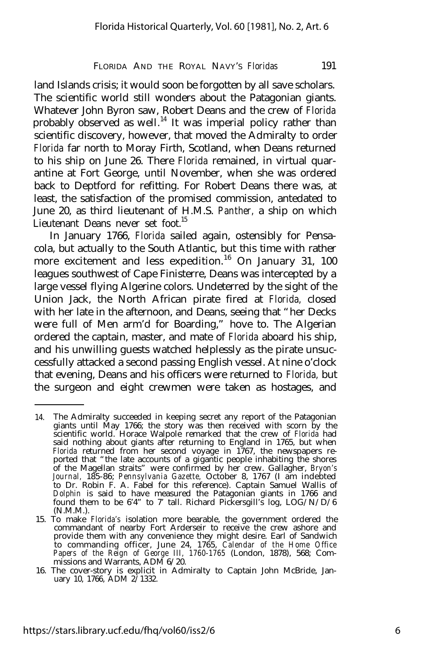land Islands crisis; it would soon be forgotten by all save scholars. The scientific world still wonders about the Patagonian giants. Whatever John Byron saw, Robert Deans and the crew of *Florida* probably observed as well.<sup>14</sup> It was imperial policy rather than scientific discovery, however, that moved the Admiralty to order *Florida* far north to Moray Firth, Scotland, when Deans returned to his ship on June 26. There *Florida* remained, in virtual quarantine at Fort George, until November, when she was ordered back to Deptford for refitting. For Robert Deans there was, at least, the satisfaction of the promised commission, antedated to June 20, as third lieutenant of H.M.S. *Panther,* a ship on which Lieutenant Deans never set foot.<sup>15</sup>

In January 1766, *Florida* sailed again, ostensibly for Pensacola, but actually to the South Atlantic, but this time with rather more excitement and less expedition.<sup>16</sup> On January 31, 100 leagues southwest of Cape Finisterre, Deans was intercepted by a large vessel flying Algerine colors. Undeterred by the sight of the Union Jack, the North African pirate fired at *Florida,* closed with her late in the afternoon, and Deans, seeing that "her Decks were full of Men arm'd for Boarding," hove to. The Algerian ordered the captain, master, and mate of *Florida* aboard his ship, and his unwilling guests watched helplessly as the pirate unsuccessfully attacked a second passing English vessel. At nine o'clock that evening, Deans and his officers were returned to *Florida,* but the surgeon and eight crewmen were taken as hostages, and

<sup>14.</sup> The Admiralty succeeded in keeping secret any report of the Patagonian giants until May 1766; the story was then received with scorn by the scientific world. Horace Walpole remarked that the crew of *Florida* had said nothing about giants after returning to England in 1765, but when *Florida* returned from her second voyage in 1767, the newspapers re-ported that "the late accounts of a gigantic people inhabiting the shores of the Magellan straits" were confirmed by her crew. Gallagher, *Bryon's Journal,* 185-86; *Pennsylvania Gazette,* October 8, 1767 (I am indebted to Dr. Robin F. A. Fabel for this reference). Captain Samuel Wallis of *Dolphin* is said to have measured the Patagonian giants in 1766 and found them to be 6'4" to 7' tall. Richard Pickersgill's log, LOG/N/D/6 (N.M.M.).

<sup>15.</sup> To make *Florida's* isolation more bearable, the government ordered the commandant of nearby Fort Arderseir to receive the crew ashore and provide them with any convenience they might desire. Earl of Sandwich to commanding officer, June 24, 1765, *Calendar of the Home Office Papers of the Reign of George III, 1760-1765* (London, 1878), 568; Commissions and Warrants, ADM 6/20.

<sup>16.</sup> The cover-story is explicit in Admiralty to Captain John McBride, January 10, 1766, ADM 2/1332.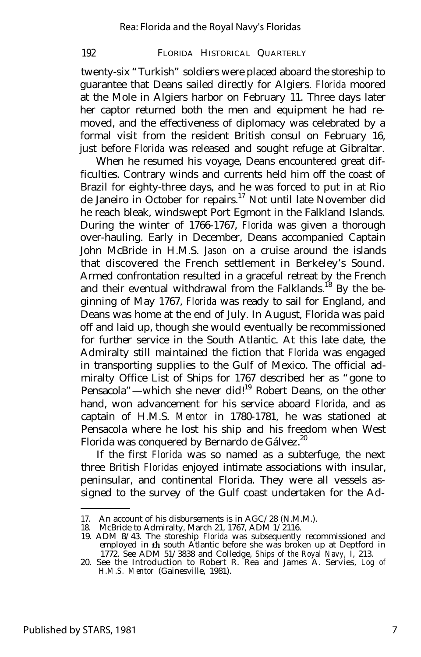twenty-six "Turkish" soldiers were placed aboard the storeship to guarantee that Deans sailed directly for Algiers. *Florida* moored at the Mole in Algiers harbor on February 11. Three days later her captor returned both the men and equipment he had removed, and the effectiveness of diplomacy was celebrated by a formal visit from the resident British consul on February 16, just before *Florida* was released and sought refuge at Gibraltar.

When he resumed his voyage, Deans encountered great difficulties. Contrary winds and currents held him off the coast of Brazil for eighty-three days, and he was forced to put in at Rio de Janeiro in October for repairs.<sup>17</sup> Not until late November did he reach bleak, windswept Port Egmont in the Falkland Islands. During the winter of 1766-1767, *Florida* was given a thorough over-hauling. Early in December, Deans accompanied Captain John McBride in H.M.S. *Jason* on a cruise around the islands that discovered the French settlement in Berkeley's Sound. Armed confrontation resulted in a graceful retreat by the French and their eventual withdrawal from the Falklands.<sup>18</sup> By the beginning of May 1767, *Florida* was ready to sail for England, and Deans was home at the end of July. In August, Florida was paid off and laid up, though she would eventually be recommissioned for further service in the South Atlantic. At this late date, the Admiralty still maintained the fiction that *Florida* was engaged in transporting supplies to the Gulf of Mexico. The official admiralty Office List of Ships for 1767 described her as "gone to Pensacola" – which she never did!<sup>19</sup> Robert Deans, on the other hand, won advancement for his service aboard *Florida,* and as captain of H.M.S. *Mentor* in 1780-1781, he was stationed at Pensacola where he lost his ship and his freedom when West Florida was conquered by Bernardo de Gálvez.<sup>20</sup>

If the first *Florida* was so named as a subterfuge, the next three British *Floridas* enjoyed intimate associations with insular, peninsular, and continental Florida. They were all vessels assigned to the survey of the Gulf coast undertaken for the Ad-

<sup>17.</sup> An account of his disbursements is in AGC/28 (N.M.M.).

<sup>18.</sup> McBride to Admiralty, March 21, 1767, ADM 1/2116.

<sup>19.</sup> ADM 8/43. The storeship *Florida* was subsequently recommissioned and employed in th south Atlantic before she was broken up at Deptford in

<sup>1772.</sup> See ADM 51/3838 and Colledge, *Ships of the Royal Navy,* I, 213. 20. See the Introduction to Robert R. Rea and James A. Servies, *Log of H.M.S. Mentor* (Gainesville, 1981).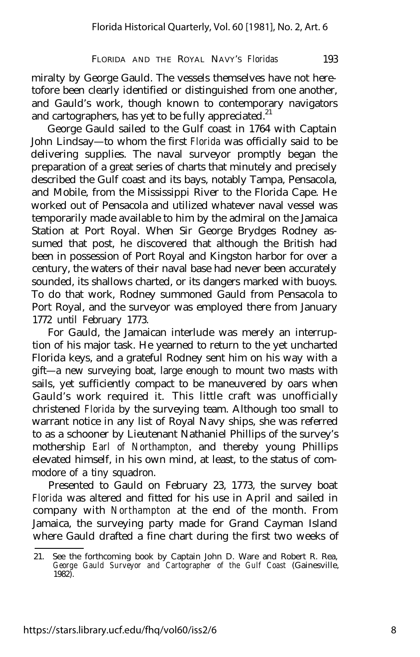miralty by George Gauld. The vessels themselves have not heretofore been clearly identified or distinguished from one another, and Gauld's work, though known to contemporary navigators and cartographers, has yet to be fully appreciated. $21$ 

George Gauld sailed to the Gulf coast in 1764 with Captain John Lindsay— to whom the first *Florida* was officially said to be delivering supplies. The naval surveyor promptly began the preparation of a great series of charts that minutely and precisely described the Gulf coast and its bays, notably Tampa, Pensacola, and Mobile, from the Mississippi River to the Florida Cape. He worked out of Pensacola and utilized whatever naval vessel was temporarily made available to him by the admiral on the Jamaica Station at Port Royal. When Sir George Brydges Rodney assumed that post, he discovered that although the British had been in possession of Port Royal and Kingston harbor for over a century, the waters of their naval base had never been accurately sounded, its shallows charted, or its dangers marked with buoys. To do that work, Rodney summoned Gauld from Pensacola to Port Royal, and the surveyor was employed there from January 1772 until February 1773.

For Gauld, the Jamaican interlude was merely an interruption of his major task. He yearned to return to the yet uncharted Florida keys, and a grateful Rodney sent him on his way with a gift— a new surveying boat, large enough to mount two masts with sails, yet sufficiently compact to be maneuvered by oars when Gauld's work required it. This little craft was unofficially christened *Florida* by the surveying team. Although too small to warrant notice in any list of Royal Navy ships, she was referred to as a schooner by Lieutenant Nathaniel Phillips of the survey's mothership *Earl of Northampton,* and thereby young Phillips elevated himself, in his own mind, at least, to the status of commodore of a tiny squadron.

Presented to Gauld on February 23, 1773, the survey boat *Florida* was altered and fitted for his use in April and sailed in company with *Northampton* at the end of the month. From Jamaica, the surveying party made for Grand Cayman Island where Gauld drafted a fine chart during the first two weeks of

<sup>21.</sup> See the forthcoming book by Captain John D. Ware and Robert R. Rea, *George Gauld Surveyor and Cartographer of the Gulf Coast* (Gainesville, 1982).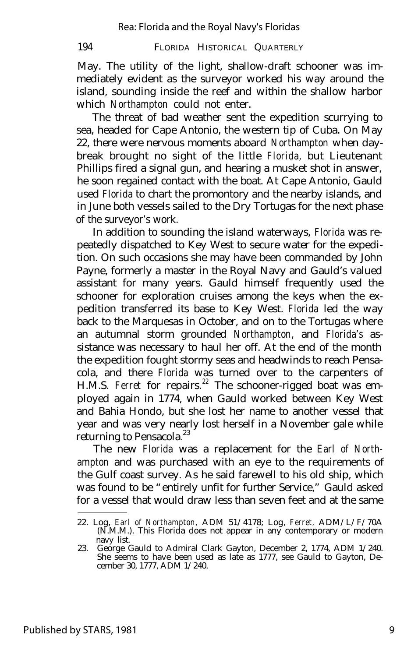May. The utility of the light, shallow-draft schooner was immediately evident as the surveyor worked his way around the island, sounding inside the reef and within the shallow harbor which *Northampton* could not enter.

The threat of bad weather sent the expedition scurrying to sea, headed for Cape Antonio, the western tip of Cuba. On May 22, there were nervous moments aboard *Northampton* when daybreak brought no sight of the little *Florida,* but Lieutenant Phillips fired a signal gun, and hearing a musket shot in answer, he soon regained contact with the boat. At Cape Antonio, Gauld used *Florida* to chart the promontory and the nearby islands, and in June both vessels sailed to the Dry Tortugas for the next phase of the surveyor's work.

In addition to sounding the island waterways, *Florida* was repeatedly dispatched to Key West to secure water for the expedition. On such occasions she may have been commanded by John Payne, formerly a master in the Royal Navy and Gauld's valued assistant for many years. Gauld himself frequently used the schooner for exploration cruises among the keys when the expedition transferred its base to Key West. *Florida* led the way back to the Marquesas in October, and on to the Tortugas where an autumnal storm grounded *Northampton,* and *Florida's* assistance was necessary to haul her off. At the end of the month the expedition fought stormy seas and headwinds to reach Pensacola, and there *Florida* was turned over to the carpenters of H.M.S. Ferret for repairs.<sup>22</sup> The schooner-rigged boat was employed again in 1774, when Gauld worked between Key West and Bahia Hondo, but she lost her name to another vessel that year and was very nearly lost herself in a November gale while returning to Pensacola.<sup>23</sup>

The new *Florida* was a replacement for the *Earl of Northampton* and was purchased with an eye to the requirements of the Gulf coast survey. As he said farewell to his old ship, which was found to be "entirely unfit for further Service," Gauld asked for a vessel that would draw less than seven feet and at the same

Published by STARS, 1981

<sup>22.</sup> Log, *Earl of Northampton,* ADM 51/4178; Log, *Ferret,* ADM/L/F/70A (N.M.M.). This Florida does not appear in any contemporary or modern navy list.

<sup>23.</sup> George Gauld to Admiral Clark Gayton, December 2, 1774, ADM 1/240. She seems to have been used as late as 1777, see Gauld to Gayton, December 30, 1777, ADM 1/240.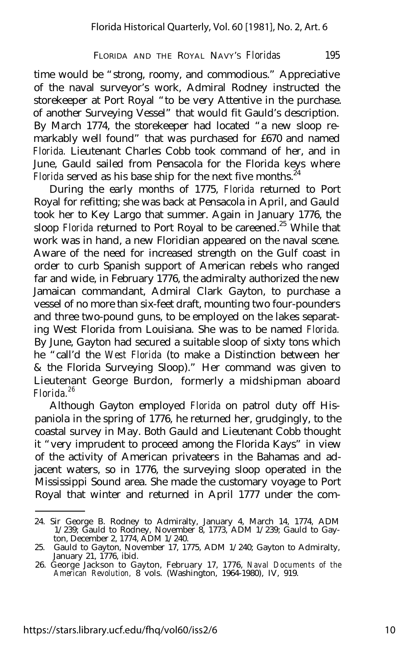time would be "strong, roomy, and commodious." Appreciative of the naval surveyor's work, Admiral Rodney instructed the storekeeper at Port Royal "to be very Attentive in the purchase. of another Surveying Vessel" that would fit Gauld's description. By March 1774, the storekeeper had located "a new sloop remarkably well found" that was purchased for £670 and named *Florida.* Lieutenant Charles Cobb took command of her, and in June, Gauld sailed from Pensacola for the Florida keys where *Florida* served as his base ship for the next five months.<sup>24</sup>

During the early months of 1775, *Florida* returned to Port Royal for refitting; she was back at Pensacola in April, and Gauld took her to Key Largo that summer. Again in January 1776, the sloop *Florida* returned to Port Royal to be careened.<sup>25</sup> While that work was in hand, a new Floridian appeared on the naval scene. Aware of the need for increased strength on the Gulf coast in order to curb Spanish support of American rebels who ranged far and wide, in February 1776, the admiralty authorized the new Jamaican commandant, Admiral Clark Gayton, to purchase a vessel of no more than six-feet draft, mounting two four-pounders and three two-pound guns, to be employed on the lakes separating West Florida from Louisiana. She was to be named *Florida.* By June, Gayton had secured a suitable sloop of sixty tons which he "call'd the *West Florida* (to make a Distinction between her & the Florida Surveying Sloop)." Her command was given to Lieutenant George Burdon, formerly a midshipman aboard *Florida.<sup>26</sup>*

Although Gayton employed *Florida* on patrol duty off Hispaniola in the spring of 1776, he returned her, grudgingly, to the coastal survey in May. Both Gauld and Lieutenant Cobb thought it "very imprudent to proceed among the Florida Kays" in view of the activity of American privateers in the Bahamas and adjacent waters, so in 1776, the surveying sloop operated in the Mississippi Sound area. She made the customary voyage to Port Royal that winter and returned in April 1777 under the com-

<sup>24.</sup> Sir George B. Rodney to Admiralty, January 4, March 14, 1774, ADM 1/239; Gauld to Rodney, November 8, 1773, ADM 1/239; Gauld to Gayton, December 2, 1774, ADM 1/240.

<sup>25.</sup> Gauld to Gayton, November 17, 1775, ADM 1/240; Gayton to Admiralty, January 21, 1776, ibid.

<sup>26.</sup> George Jackson to Gayton, February 17, 1776, *Naval Documents of the American Revolution,* 8 vols. (Washington, 1964-1980), IV, 919.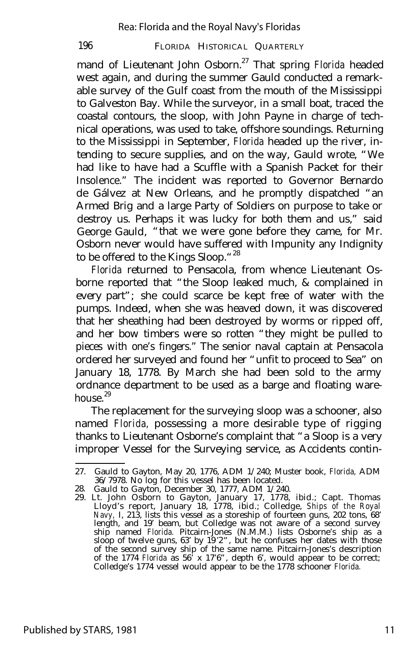mand of Lieutenant John Osborn.<sup>27</sup> That spring *Florida* headed west again, and during the summer Gauld conducted a remarkable survey of the Gulf coast from the mouth of the Mississippi to Galveston Bay. While the surveyor, in a small boat, traced the coastal contours, the sloop, with John Payne in charge of technical operations, was used to take, offshore soundings. Returning to the Mississippi in September, *Florida* headed up the river, intending to secure supplies, and on the way, Gauld wrote, "We had like to have had a Scuffle with a Spanish Packet for their Insolence." The incident was reported to Governor Bernardo de Gálvez at New Orleans, and he promptly dispatched "an Armed Brig and a large Party of Soldiers on purpose to take or destroy us. Perhaps it was lucky for both them and us," said George Gauld, "that we were gone before they came, for Mr. Osborn never would have suffered with Impunity any Indignity to be offered to the Kings Sloop."<sup>28</sup>

*Florida* returned to Pensacola, from whence Lieutenant Osborne reported that "the Sloop leaked much, & complained in every part"; she could scarce be kept free of water with the pumps. Indeed, when she was heaved down, it was discovered that her sheathing had been destroyed by worms or ripped off, and her bow timbers were so rotten "they might be pulled to pieces with one's fingers." The senior naval captain at Pensacola ordered her surveyed and found her "unfit to proceed to Sea" on January 18, 1778. By March she had been sold to the army ordnance department to be used as a barge and floating warehouse.<sup>29</sup>

The replacement for the surveying sloop was a schooner, also named *Florida,* possessing a more desirable type of rigging thanks to Lieutenant Osborne's complaint that "a Sloop is a very improper Vessel for the Surveying service, as Accidents contin-

<sup>27.</sup> Gauld to Gayton, May 20, 1776, ADM 1/240; Muster book, *Florida,* ADM 36/7978. No log for this vessel has been located.

<sup>28.</sup> Gauld to Gayton, December 30, 1777, ADM 1/240.

<sup>29.</sup> Lt. John Osborn to Gayton, January 17, 1778, ibid.; Capt. Thomas Lloyd's report, January 18, 1778, ibid.; Colledge, *Ships of the Royal Navy,* I, 213, lists this vessel as a storeship of fourteen guns, 202 tons, 68' length, and 19' beam, but Colledge was not aware of a second survey ship named *Florida.* Pitcairn-Jones (N.M.M.) lists Osborne's ship as a sloop of twelve guns, 63' by 19 2' ", but he confuses her dates with those of the second survey ship of the same name. Pitcairn-Jones's description of the 1774 *Florida* as 56' x 17'6", depth 6', would appear to be correct; Colledge's 1774 vessel would appear to be the 1778 schooner *Florida.*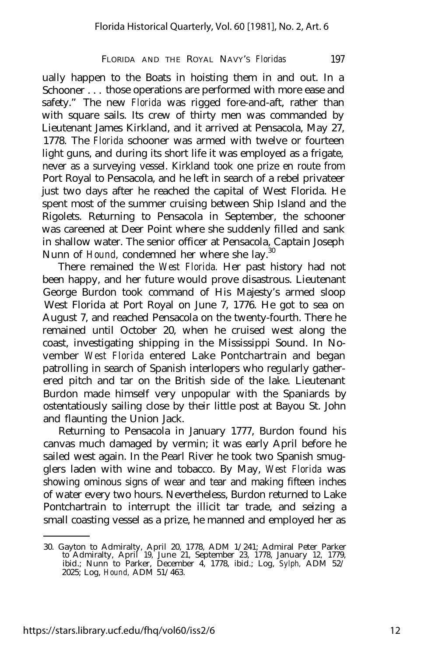ually happen to the Boats in hoisting them in and out. In a Schooner . . . those operations are performed with more ease and safety." The new *Florida* was rigged fore-and-aft, rather than with square sails. Its crew of thirty men was commanded by Lieutenant James Kirkland, and it arrived at Pensacola, May 27, 1778. The *Florida* schooner was armed with twelve or fourteen light guns, and during its short life it was employed as a frigate, never as a surveying vessel. Kirkland took one prize en route from Port Royal to Pensacola, and he left in search of a rebel privateer just two days after he reached the capital of West Florida. He spent most of the summer cruising between Ship Island and the Rigolets. Returning to Pensacola in September, the schooner was careened at Deer Point where she suddenly filled and sank in shallow water. The senior officer at Pensacola, Captain Joseph Nunn of *Hound*, condemned her where she lay.<sup>30</sup>

There remained the *West Florida.* Her past history had not been happy, and her future would prove disastrous. Lieutenant George Burdon took command of His Majesty's armed sloop West Florida at Port Royal on June 7, 1776. He got to sea on August 7, and reached Pensacola on the twenty-fourth. There he remained until October 20, when he cruised west along the coast, investigating shipping in the Mississippi Sound. In November *West Florida* entered Lake Pontchartrain and began patrolling in search of Spanish interlopers who regularly gatherered pitch and tar on the British side of the lake. Lieutenant Burdon made himself very unpopular with the Spaniards by ostentatiously sailing close by their little post at Bayou St. John and flaunting the Union Jack.

Returning to Pensacola in January 1777, Burdon found his canvas much damaged by vermin; it was early April before he sailed west again. In the Pearl River he took two Spanish smugglers laden with wine and tobacco. By May, *West Florida* was showing ominous signs of wear and tear and making fifteen inches of water every two hours. Nevertheless, Burdon returned to Lake Pontchartrain to interrupt the illicit tar trade, and seizing a small coasting vessel as a prize, he manned and employed her as

<sup>30.</sup> Gayton to Admiralty, April 20, 1778, ADM 1/241; Admiral Peter Parker to Admiralty, April 19, June 21, September 23, 1778, January 12, 1779, ibid.; Nunn to Parker, December 4, 1778, ibid.; Log, *Sylph,* ADM 52/ 2025; Log, *Hound,* ADM 51/463.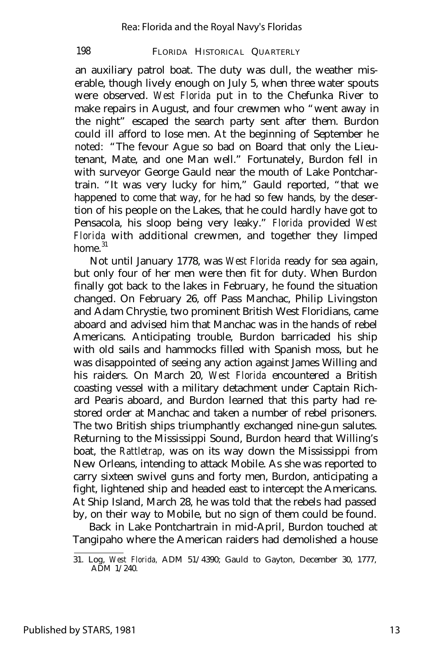an auxiliary patrol boat. The duty was dull, the weather miserable, though lively enough on July 5, when three water spouts were observed. *West Florida* put in to the Chefunka River to make repairs in August, and four crewmen who "went away in the night" escaped the search party sent after them. Burdon could ill afford to lose men. At the beginning of September he noted: "The fevour Ague so bad on Board that only the Lieutenant, Mate, and one Man well." Fortunately, Burdon fell in with surveyor George Gauld near the mouth of Lake Pontchartrain. "It was very lucky for him," Gauld reported, "that we happened to come that way, for he had so few hands, by the desertion of his people on the Lakes, that he could hardly have got to Pensacola, his sloop being very leaky." *Florida* provided *West Florida* with additional crewmen, and together they limped home  $31$ 

Not until January 1778, was *West Florida* ready for sea again, but only four of her men were then fit for duty. When Burdon finally got back to the lakes in February, he found the situation changed. On February 26, off Pass Manchac, Philip Livingston and Adam Chrystie, two prominent British West Floridians, came aboard and advised him that Manchac was in the hands of rebel Americans. Anticipating trouble, Burdon barricaded his ship with old sails and hammocks filled with Spanish moss, but he was disappointed of seeing any action against James Willing and his raiders. On March 20, *West Florida* encountered a British coasting vessel with a military detachment under Captain Richard Pearis aboard, and Burdon learned that this party had restored order at Manchac and taken a number of rebel prisoners. The two British ships triumphantly exchanged nine-gun salutes. Returning to the Mississippi Sound, Burdon heard that Willing's boat, the *Rattletrap,* was on its way down the Mississippi from New Orleans, intending to attack Mobile. As she was reported to carry sixteen swivel guns and forty men, Burdon, anticipating a fight, lightened ship and headed east to intercept the Americans. At Ship Island, March 28, he was told that the rebels had passed by, on their way to Mobile, but no sign of them could be found.

Back in Lake Pontchartrain in mid-April, Burdon touched at Tangipaho where the American raiders had demolished a house

Published by STARS, 1981

<sup>31.</sup> Log, *West Florida,* ADM 51/4390; Gauld to Gayton, December 30, 1777, ADM 1/240.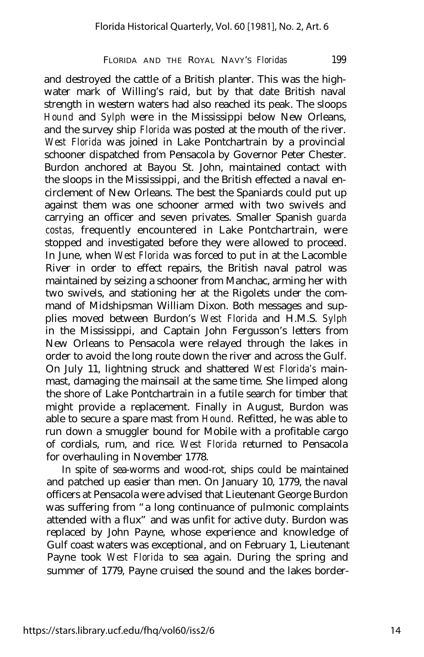and destroyed the cattle of a British planter. This was the highwater mark of Willing's raid, but by that date British naval strength in western waters had also reached its peak. The sloops *Hound* and *Sylph* were in the Mississippi below New Orleans, and the survey ship *Florida* was posted at the mouth of the river. *West Florida* was joined in Lake Pontchartrain by a provincial schooner dispatched from Pensacola by Governor Peter Chester. Burdon anchored at Bayou St. John, maintained contact with the sloops in the Mississippi, and the British effected a naval encirclement of New Orleans. The best the Spaniards could put up against them was one schooner armed with two swivels and carrying an officer and seven privates. Smaller Spanish *guarda costas,* frequently encountered in Lake Pontchartrain, were stopped and investigated before they were allowed to proceed. In June, when *West Florida* was forced to put in at the Lacomble River in order to effect repairs, the British naval patrol was maintained by seizing a schooner from Manchac, arming her with two swivels, and stationing her at the Rigolets under the command of Midshipsman William Dixon. Both messages and supplies moved between Burdon's *West Florida* and H.M.S. *Sylph* in the Mississippi, and Captain John Fergusson's letters from New Orleans to Pensacola were relayed through the lakes in order to avoid the long route down the river and across the Gulf. On July 11, lightning struck and shattered *West Florida's* mainmast, damaging the mainsail at the same time. She limped along the shore of Lake Pontchartrain in a futile search for timber that might provide a replacement. Finally in August, Burdon was able to secure a spare mast from *Hound.* Refitted, he was able to run down a smuggler bound for Mobile with a profitable cargo of cordials, rum, and rice. *West Florida* returned to Pensacola for overhauling in November 1778.

In spite of sea-worms and wood-rot, ships could be maintained and patched up easier than men. On January 10, 1779, the naval officers at Pensacola were advised that Lieutenant George Burdon was suffering from "a long continuance of pulmonic complaints attended with a flux" and was unfit for active duty. Burdon was replaced by John Payne, whose experience and knowledge of Gulf coast waters was exceptional, and on February 1, Lieutenant Payne took *West Florida* to sea again. During the spring and summer of 1779, Payne cruised the sound and the lakes border-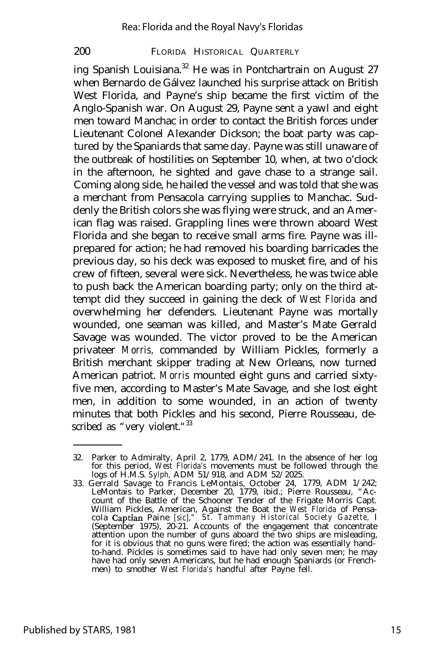ing Spanish Louisiana. $32$  He was in Pontchartrain on August 27 when Bernardo de Gálvez launched his surprise attack on British West Florida, and Payne's ship became the first victim of the Anglo-Spanish war. On August 29, Payne sent a yawl and eight men toward Manchac in order to contact the British forces under Lieutenant Colonel Alexander Dickson; the boat party was captured by the Spaniards that same day. Payne was still unaware of the outbreak of hostilities on September 10, when, at two o'clock in the afternoon, he sighted and gave chase to a strange sail. Coming along side, he hailed the vessel and was told that she was a merchant from Pensacola carrying supplies to Manchac. Suddenly the British colors she was flying were struck, and an American flag was raised. Grappling lines were thrown aboard West Florida and she began to receive small arms fire. Payne was illprepared for action; he had removed his boarding barricades the previous day, so his deck was exposed to musket fire, and of his crew of fifteen, several were sick. Nevertheless, he was twice able to push back the American boarding party; only on the third attempt did they succeed in gaining the deck of *West Florida* and overwhelming her defenders. Lieutenant Payne was mortally wounded, one seaman was killed, and Master's Mate Gerrald Savage was wounded. The victor proved to be the American privateer *Morris,* commanded by William Pickles, formerly a British merchant skipper trading at New Orleans, now turned American patriot. *Morris* mounted eight guns and carried sixtyfive men, according to Master's Mate Savage, and she lost eight men, in addition to some wounded, in an action of twenty minutes that both Pickles and his second, Pierre Rousseau, described as "very violent."<sup>33</sup>

<sup>32.</sup> Parker to Admiralty, April 2, 1779, ADM/241. In the absence of her log for this period, *West Florida's* movements must be followed through the logs of H.M.S. *Sylph,* ADM 51/918, and ADM 52/2025.

<sup>33.</sup> Gerrald Savage to Francis LeMontais, October 24, 1779, ADM 1/242; LeMontais to Parker, December 20, 1779, ibid.; Pierre Rousseau, "Account of the Battle of the Schooner Tender of the Frigate Morris Capt. William Pickles, American, Against the Boat the *West Florida* of Pensa-cola Captian Paine *[sic]," St. Tammany Historical Society Gazette,* I (September 1975), 20-21. Accounts of the engagement that concentrate attention upon the number of guns aboard the two ships are misleading, for it is obvious that no guns were fired; the action was essentially handto-hand. Pickles is sometimes said to have had only seven men; he may have had only seven Americans, but he had enough Spaniards (or French-men) to smother *West Florida's* handful after Payne fell.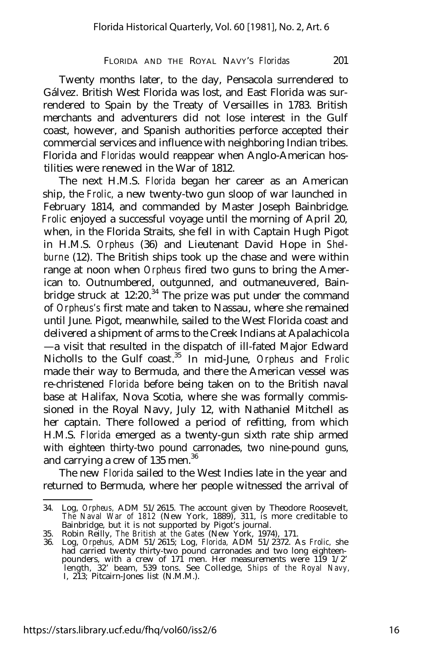Twenty months later, to the day, Pensacola surrendered to Gálvez. British West Florida was lost, and East Florida was surrendered to Spain by the Treaty of Versailles in 1783. British merchants and adventurers did not lose interest in the Gulf coast, however, and Spanish authorities perforce accepted their commercial services and influence with neighboring Indian tribes. Florida and *Floridas* would reappear when Anglo-American hostilities were renewed in the War of 1812.

The next H.M.S. *Florida* began her career as an American ship, the *Frolic,* a new twenty-two gun sloop of war launched in February 1814, and commanded by Master Joseph Bainbridge. *Frolic* enjoyed a successful voyage until the morning of April 20, when, in the Florida Straits, she fell in with Captain Hugh Pigot in H.M.S. *Orpheus* (36) and Lieutenant David Hope in *Shelburne* (12). The British ships took up the chase and were within range at noon when *Orpheus* fired two guns to bring the American to. Outnumbered, outgunned, and outmaneuvered, Bainbridge struck at 12:20.<sup>34</sup> The prize was put under the command of *Orpheus's* first mate and taken to Nassau, where she remained until June. Pigot, meanwhile, sailed to the West Florida coast and delivered a shipment of arms to the Creek Indians at Apalachicola — a visit that resulted in the dispatch of ill-fated Major Edward Nicholls to the Gulf coast. <sup>35</sup> In mid-June, *Orpheus* and *Frolic* made their way to Bermuda, and there the American vessel was re-christened *Florida* before being taken on to the British naval base at Halifax, Nova Scotia, where she was formally commissioned in the Royal Navy, July 12, with Nathaniel Mitchell as her captain. There followed a period of refitting, from which H.M.S. *Florida* emerged as a twenty-gun sixth rate ship armed with eighteen thirty-two pound carronades, two nine-pound guns, and carrying a crew of  $135$  men.<sup>36</sup>

The new *Florida* sailed to the West Indies late in the year and returned to Bermuda, where her people witnessed the arrival of

<sup>34.</sup> Log, *Orpheus,* ADM 51/2615. The account given by Theodore Roosevelt, *The Naval War of 1812* (New York, 1889), 311, is more creditable to Bainbridge, but it is not supported by Pigot's journal.

<sup>35.</sup> Robin Reilly, *The British at the Gates* (New York, 1974), 171.

<sup>36.</sup> Log, *Orpehus,* ADM 51/2615; Log, *Florida,* ADM 51/2372. As *Frolic,* she had carried twenty thirty-two pound carronades and two long eighteen-pounders, with a crew of 171 men. Her measurements were 119 1/2' length, 32' beam, 539 tons. See Colledge, *Ships of the Royal Navy,* I, 213; Pitcairn-Jones list (N.M.M.).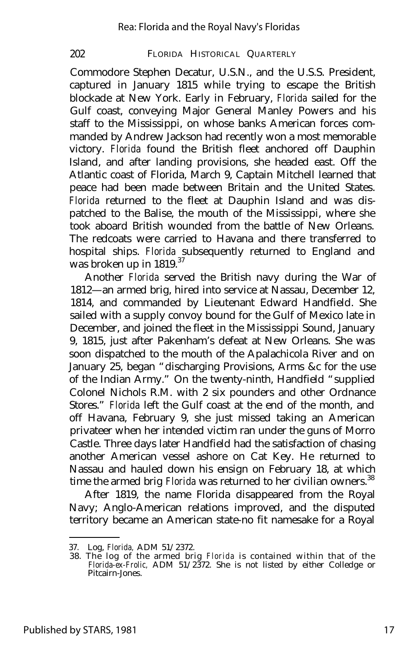Commodore Stephen Decatur, U.S.N., and the U.S.S. President, captured in January 1815 while trying to escape the British blockade at New York. Early in February, *Florida* sailed for the Gulf coast, conveying Major General Manley Powers and his staff to the Mississippi, on whose banks American forces commanded by Andrew Jackson had recently won a most memorable victory. *Florida* found the British fleet anchored off Dauphin Island, and after landing provisions, she headed east. Off the Atlantic coast of Florida, March 9, Captain Mitchell learned that peace had been made between Britain and the United States. *Florida* returned to the fleet at Dauphin Island and was dispatched to the Balise, the mouth of the Mississippi, where she took aboard British wounded from the battle of New Orleans. The redcoats were carried to Havana and there transferred to hospital ships. *Florida* subsequently returned to England and was broken up in  $1819$ <sup>37</sup>

Another *Florida* served the British navy during the War of 1812— an armed brig, hired into service at Nassau, December 12, 1814, and commanded by Lieutenant Edward Handfield. She sailed with a supply convoy bound for the Gulf of Mexico late in December, and joined the fleet in the Mississippi Sound, January 9, 1815, just after Pakenham's defeat at New Orleans. She was soon dispatched to the mouth of the Apalachicola River and on January 25, began "discharging Provisions, Arms &c for the use of the Indian Army." On the twenty-ninth, Handfield "supplied Colonel Nichols R.M. with 2 six pounders and other Ordnance Stores." *Florida* left the Gulf coast at the end of the month, and off Havana, February 9, she just missed taking an American privateer when her intended victim ran under the guns of Morro Castle. Three days later Handfield had the satisfaction of chasing another American vessel ashore on Cat Key. He returned to Nassau and hauled down his ensign on February 18, at which time the armed brig *Florida* was returned to her civilian owners.<sup>38</sup>

After 1819, the name Florida disappeared from the Royal Navy; Anglo-American relations improved, and the disputed territory became an American state-no fit namesake for a Royal

<sup>37.</sup> Log, *Florida,* ADM 51/2372.

<sup>38.</sup> The log of the armed brig *Florida* is contained within that of the *Florida-ex-Frolic,* ADM 51/2372. She is not listed by either Colledge or Pitcairn-Jones.